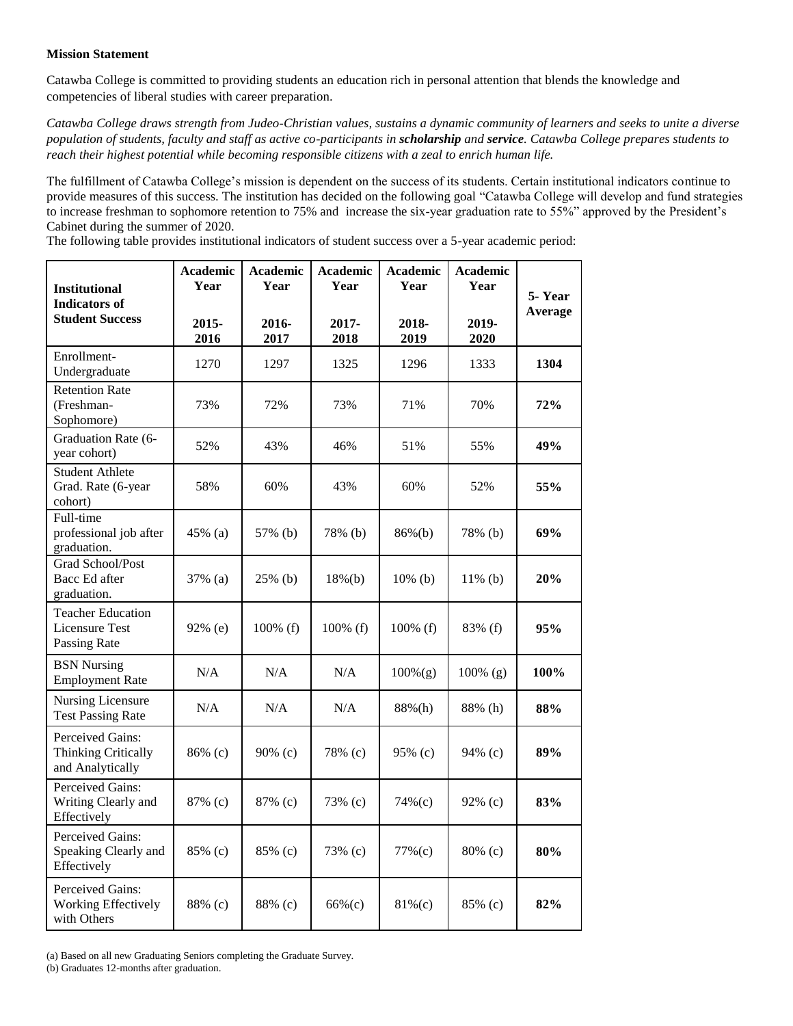## **Mission Statement**

Catawba College is committed to providing students an education rich in personal attention that blends the knowledge and competencies of liberal studies with career preparation.

*Catawba College draws strength from Judeo-Christian values, sustains a dynamic community of learners and seeks to unite a diverse population of students, faculty and staff as active co-participants in scholarship and service. Catawba College prepares students to reach their highest potential while becoming responsible citizens with a zeal to enrich human life.* 

The fulfillment of Catawba College's mission is dependent on the success of its students. Certain institutional indicators continue to provide measures of this success. The institution has decided on the following goal "Catawba College will develop and fund strategies to increase freshman to sophomore retention to 75% and increase the six-year graduation rate to 55%" approved by the President's Cabinet during the summer of 2020.

The following table provides institutional indicators of student success over a 5-year academic period:

| <b>Institutional</b><br><b>Indicators of</b><br><b>Student Success</b>    | <b>Academic</b><br>Year | <b>Academic</b><br>Year | <b>Academic</b><br>Year | <b>Academic</b><br>Year | <b>Academic</b><br>Year | 5-Year<br>Average |
|---------------------------------------------------------------------------|-------------------------|-------------------------|-------------------------|-------------------------|-------------------------|-------------------|
|                                                                           | 2015-<br>2016           | 2016-<br>2017           | 2017-<br>2018           | 2018-<br>2019           | 2019-<br>2020           |                   |
| Enrollment-<br>Undergraduate                                              | 1270                    | 1297                    | 1325                    | 1296                    | 1333                    | 1304              |
| <b>Retention Rate</b><br>(Freshman-<br>Sophomore)                         | 73%                     | 72%                     | 73%                     | 71%                     | 70%                     | 72%               |
| Graduation Rate (6-<br>year cohort)                                       | 52%                     | 43%                     | 46%                     | 51%                     | 55%                     | 49%               |
| <b>Student Athlete</b><br>Grad. Rate (6-year<br>cohort)                   | 58%                     | 60%                     | 43%                     | 60%                     | 52%                     | 55%               |
| Full-time<br>professional job after<br>graduation.                        | 45% (a)                 | 57% (b)                 | 78% (b)                 | $86\%(b)$               | 78% (b)                 | 69%               |
| <b>Grad School/Post</b><br>Bacc Ed after<br>graduation.                   | 37% (a)                 | 25% (b)                 | $18%$ (b)               | $10\%$ (b)              | $11\%$ (b)              | 20%               |
| <b>Teacher Education</b><br><b>Licensure Test</b><br>Passing Rate         | 92% (e)                 | 100% (f)                | 100% (f)                | 100% (f)                | 83% (f)                 | 95%               |
| <b>BSN Nursing</b><br><b>Employment Rate</b>                              | N/A                     | N/A                     | N/A                     | $100\%$ (g)             | 100% (g)                | 100%              |
| Nursing Licensure<br><b>Test Passing Rate</b>                             | N/A                     | N/A                     | N/A                     | 88%(h)                  | 88% (h)                 | 88%               |
| <b>Perceived Gains:</b><br><b>Thinking Critically</b><br>and Analytically | 86% (c)                 | $90\%$ (c)              | 78% (c)                 | 95% (c)                 | 94% (c)                 | 89%               |
| <b>Perceived Gains:</b><br>Writing Clearly and<br>Effectively             | 87% (c)                 | 87% (c)                 | 73% (c)                 | 74% (c)                 | 92% (c)                 | 83%               |
| Perceived Gains:<br>Speaking Clearly and<br>Effectively                   | 85% (c)                 | 85% (c)                 | 73% (c)                 | 77% (c)                 | 80% (c)                 | 80%               |
| Perceived Gains:<br>Working Effectively<br>with Others                    | 88% (c)                 | 88% (c)                 | $66%$ (c)               | $81\%$ (c)              | 85% (c)                 | 82%               |

(a) Based on all new Graduating Seniors completing the Graduate Survey.

(b) Graduates 12-months after graduation.